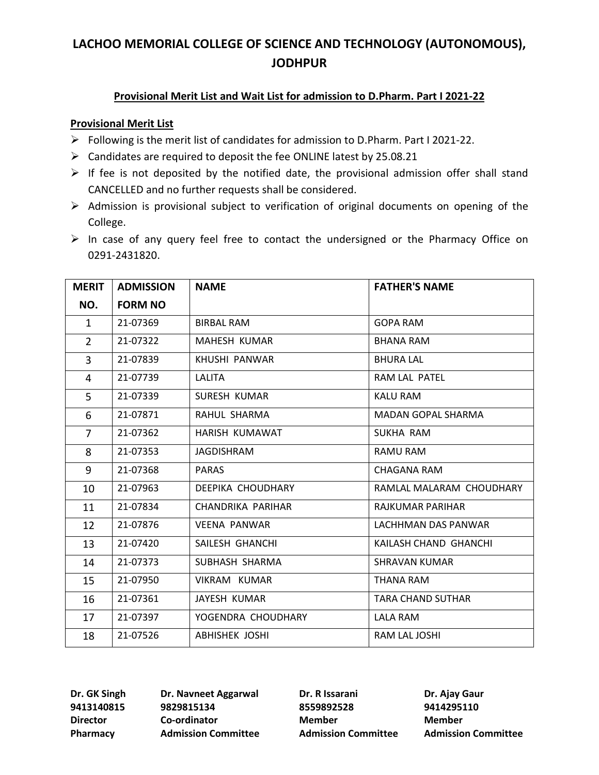### **Provisional Merit List and Wait List for admission to D.Pharm. Part I 2021-22**

#### **Provisional Merit List**

- ➢ Following is the merit list of candidates for admission to D.Pharm. Part I 2021-22.
- $\triangleright$  Candidates are required to deposit the fee ONLINE latest by 25.08.21
- $\triangleright$  If fee is not deposited by the notified date, the provisional admission offer shall stand CANCELLED and no further requests shall be considered.
- ➢ Admission is provisional subject to verification of original documents on opening of the College.
- ➢ In case of any query feel free to contact the undersigned or the Pharmacy Office on 0291-2431820.

| <b>MERIT</b>   | <b>ADMISSION</b> | <b>NAME</b>           | <b>FATHER'S NAME</b>      |
|----------------|------------------|-----------------------|---------------------------|
| NO.            | <b>FORM NO</b>   |                       |                           |
| $\mathbf{1}$   | 21-07369         | <b>BIRBAL RAM</b>     | <b>GOPA RAM</b>           |
| $\overline{2}$ | 21-07322         | MAHESH KUMAR          | <b>BHANA RAM</b>          |
| $\overline{3}$ | 21-07839         | KHUSHI PANWAR         | <b>BHURA LAL</b>          |
| 4              | 21-07739         | LALITA                | RAM LAL PATEL             |
| 5              | 21-07339         | SURESH KUMAR          | <b>KALU RAM</b>           |
| 6              | 21-07871         | RAHUL SHARMA          | <b>MADAN GOPAL SHARMA</b> |
| $\overline{7}$ | 21-07362         | HARISH KUMAWAT        | SUKHA RAM                 |
| 8              | 21-07353         | <b>JAGDISHRAM</b>     | RAMU RAM                  |
| 9              | 21-07368         | <b>PARAS</b>          | CHAGANA RAM               |
| 10             | 21-07963         | DEEPIKA CHOUDHARY     | RAMLAL MALARAM CHOUDHARY  |
| 11             | 21-07834         | CHANDRIKA PARIHAR     | RAJKUMAR PARIHAR          |
| 12             | 21-07876         | <b>VEENA PANWAR</b>   | LACHHMAN DAS PANWAR       |
| 13             | 21-07420         | SAILESH GHANCHI       | KAILASH CHAND GHANCHI     |
| 14             | 21-07373         | SUBHASH SHARMA        | <b>SHRAVAN KUMAR</b>      |
| 15             | 21-07950         | VIKRAM KUMAR          | THANA RAM                 |
| 16             | 21-07361         | JAYESH KUMAR          | <b>TARA CHAND SUTHAR</b>  |
| 17             | 21-07397         | YOGENDRA CHOUDHARY    | <b>LALA RAM</b>           |
| 18             | 21-07526         | <b>ABHISHEK JOSHI</b> | RAM LAL JOSHI             |

**9413140815 9829815134 8559892528 9414295110 Director Co-ordinator Member Member**

**Dr. GK Singh Dr. Navneet Aggarwal Dr. R Issarani Dr. Ajay Gaur** 

**Pharmacy Admission Committee Admission Committee Admission Committee**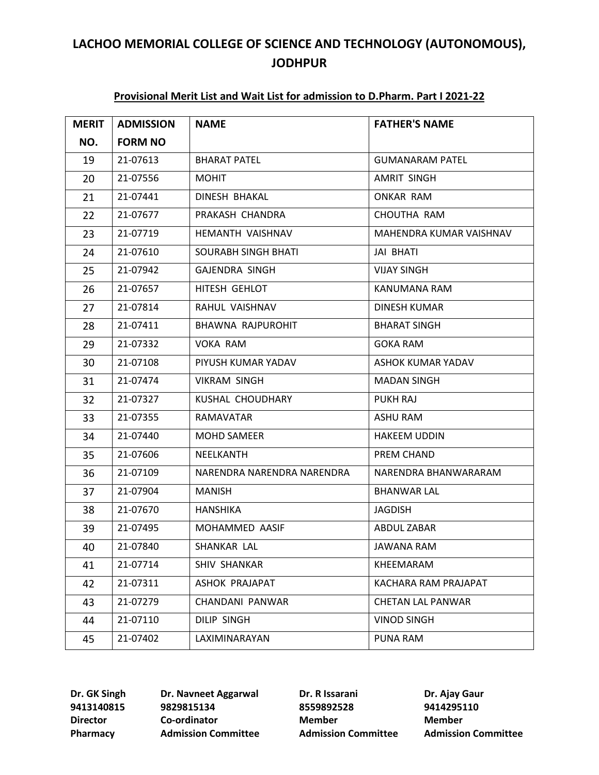#### **Provisional Merit List and Wait List for admission to D.Pharm. Part I 2021-22**

| <b>MERIT</b> | <b>ADMISSION</b> | <b>NAME</b>                | <b>FATHER'S NAME</b>     |
|--------------|------------------|----------------------------|--------------------------|
| NO.          | <b>FORM NO</b>   |                            |                          |
| 19           | 21-07613         | <b>BHARAT PATEL</b>        | GUMANARAM PATEL          |
| 20           | 21-07556         | <b>MOHIT</b>               | <b>AMRIT SINGH</b>       |
| 21           | 21-07441         | DINESH BHAKAL              | ONKAR RAM                |
| 22           | 21-07677         | PRAKASH CHANDRA            | CHOUTHA RAM              |
| 23           | 21-07719         | HEMANTH VAISHNAV           | MAHENDRA KUMAR VAISHNAV  |
| 24           | 21-07610         | <b>SOURABH SINGH BHATI</b> | JAI BHATI                |
| 25           | 21-07942         | <b>GAJENDRA SINGH</b>      | <b>VIJAY SINGH</b>       |
| 26           | 21-07657         | HITESH GEHLOT              | KANUMANA RAM             |
| 27           | 21-07814         | RAHUL VAISHNAV             | <b>DINESH KUMAR</b>      |
| 28           | 21-07411         | BHAWNA RAJPUROHIT          | <b>BHARAT SINGH</b>      |
| 29           | 21-07332         | <b>VOKA RAM</b>            | <b>GOKA RAM</b>          |
| 30           | 21-07108         | PIYUSH KUMAR YADAV         | ASHOK KUMAR YADAV        |
| 31           | 21-07474         | <b>VIKRAM SINGH</b>        | <b>MADAN SINGH</b>       |
| 32           | 21-07327         | KUSHAL CHOUDHARY           | PUKH RAJ                 |
| 33           | 21-07355         | RAMAVATAR                  | ASHU RAM                 |
| 34           | 21-07440         | MOHD SAMEER                | <b>HAKEEM UDDIN</b>      |
| 35           | 21-07606         | NEELKANTH                  | PREM CHAND               |
| 36           | 21-07109         | NARENDRA NARENDRA NARENDRA | NARENDRA BHANWARARAM     |
| 37           | 21-07904         | <b>MANISH</b>              | <b>BHANWAR LAL</b>       |
| 38           | 21-07670         | HANSHIKA                   | JAGDISH                  |
| 39           | 21-07495         | MOHAMMED AASIF             | ABDUL ZABAR              |
| 40           | 21-07840         | SHANKAR LAL                | JAWANA RAM               |
| 41           | 21-07714         | SHIV SHANKAR               | KHEEMARAM                |
| 42           | 21-07311         | ASHOK PRAJAPAT             | KACHARA RAM PRAJAPAT     |
| 43           | 21-07279         | CHANDANI PANWAR            | <b>CHETAN LAL PANWAR</b> |
| 44           | 21-07110         | <b>DILIP SINGH</b>         | <b>VINOD SINGH</b>       |
| 45           | 21-07402         | LAXIMINARAYAN              | PUNA RAM                 |

 **9829815134 8559892528 9414295110 Director Co-ordinator Member Member**

**Dr. GK Singh Dr. Navneet Aggarwal Dr. R Issarani Dr. Ajay Gaur**

**Pharmacy Admission Committee Admission Committee Admission Committee**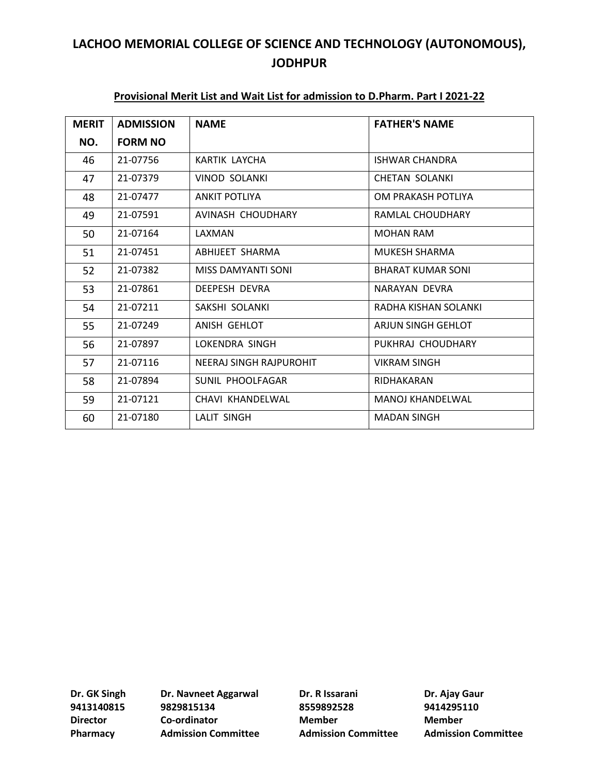| <b>MERIT</b> | <b>ADMISSION</b> | <b>NAME</b>             | <b>FATHER'S NAME</b>     |
|--------------|------------------|-------------------------|--------------------------|
| NO.          | <b>FORM NO</b>   |                         |                          |
| 46           | 21-07756         | KARTIK LAYCHA           | ISHWAR CHANDRA           |
| 47           | 21-07379         | <b>VINOD SOLANKI</b>    | <b>CHETAN SOLANKI</b>    |
| 48           | 21-07477         | <b>ANKIT POTLIYA</b>    | OM PRAKASH POTLIYA       |
| 49           | 21-07591         | AVINASH CHOUDHARY       | RAMLAL CHOUDHARY         |
| 50           | 21-07164         | LAXMAN                  | <b>MOHAN RAM</b>         |
| 51           | 21-07451         | ABHIJEET SHARMA         | MUKESH SHARMA            |
| 52           | 21-07382         | MISS DAMYANTI SONI      | <b>BHARAT KUMAR SONI</b> |
| 53           | 21-07861         | <b>DEEPESH DEVRA</b>    | NARAYAN DEVRA            |
| 54           | 21-07211         | SAKSHI SOLANKI          | RADHA KISHAN SOLANKI     |
| 55           | 21-07249         | ANISH GEHLOT            | ARJUN SINGH GEHLOT       |
| 56           | 21-07897         | LOKENDRA SINGH          | PUKHRAJ CHOUDHARY        |
| 57           | 21-07116         | NEERAJ SINGH RAJPUROHIT | <b>VIKRAM SINGH</b>      |
| 58           | 21-07894         | SUNIL PHOOLFAGAR        | RIDHAKARAN               |
| 59           | 21-07121         | CHAVI KHANDELWAL        | <b>MANOJ KHANDELWAL</b>  |
| 60           | 21-07180         | <b>LALIT SINGH</b>      | <b>MADAN SINGH</b>       |

### **Provisional Merit List and Wait List for admission to D.Pharm. Part I 2021-22**

**9413140815 9829815134 8559892528 9414295110 Director Co-ordinator Member Member Pharmacy Admission Committee Admission Committee Admission Committee**

**Dr. GK Singh Dr. Navneet Aggarwal Dr. R Issarani Dr. Ajay Gaur**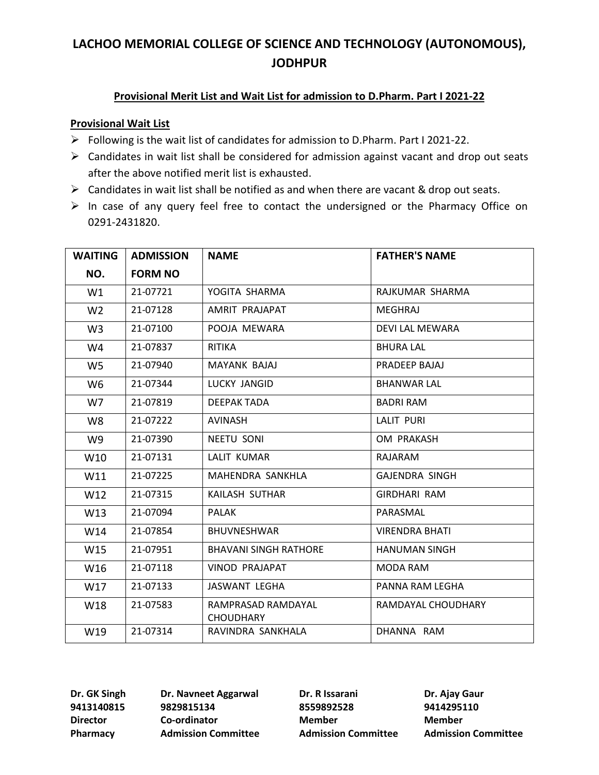### **Provisional Merit List and Wait List for admission to D.Pharm. Part I 2021-22**

#### **Provisional Wait List**

- ➢ Following is the wait list of candidates for admission to D.Pharm. Part I 2021-22.
- $\triangleright$  Candidates in wait list shall be considered for admission against vacant and drop out seats after the above notified merit list is exhausted.
- ➢ Candidates in wait list shall be notified as and when there are vacant & drop out seats.
- ➢ In case of any query feel free to contact the undersigned or the Pharmacy Office on 0291-2431820.

| <b>WAITING</b> | <b>ADMISSION</b> | <b>NAME</b>                            | <b>FATHER'S NAME</b>  |
|----------------|------------------|----------------------------------------|-----------------------|
| NO.            | <b>FORM NO</b>   |                                        |                       |
| W1             | 21-07721         | YOGITA SHARMA                          | RAJKUMAR SHARMA       |
| W <sub>2</sub> | 21-07128         | AMRIT PRAJAPAT                         | MEGHRAJ               |
| W <sub>3</sub> | 21-07100         | POOJA MEWARA                           | DEVI LAL MEWARA       |
| W4             | 21-07837         | <b>RITIKA</b>                          | <b>BHURA LAL</b>      |
| W5             | 21-07940         | MAYANK BAJAJ                           | PRADEEP BAJAJ         |
| W6             | 21-07344         | LUCKY JANGID                           | <b>BHANWAR LAL</b>    |
| W7             | 21-07819         | DEEPAK TADA                            | <b>BADRI RAM</b>      |
| W8             | 21-07222         | <b>AVINASH</b>                         | <b>LALIT PURI</b>     |
| W9             | 21-07390         | <b>NEETU SONI</b>                      | OM PRAKASH            |
| W10            | 21-07131         | LALIT KUMAR                            | RAJARAM               |
| W11            | 21-07225         | MAHENDRA SANKHLA                       | <b>GAJENDRA SINGH</b> |
| W12            | 21-07315         | KAILASH SUTHAR                         | <b>GIRDHARI RAM</b>   |
| W13            | 21-07094         | PALAK                                  | PARASMAL              |
| W14            | 21-07854         | <b>BHUVNESHWAR</b>                     | <b>VIRENDRA BHATI</b> |
| W15            | 21-07951         | <b>BHAVANI SINGH RATHORE</b>           | <b>HANUMAN SINGH</b>  |
| W16            | 21-07118         | <b>VINOD PRAJAPAT</b>                  | MODA RAM              |
| W17            | 21-07133         | JASWANT LEGHA                          | PANNA RAM LEGHA       |
| W18            | 21-07583         | RAMPRASAD RAMDAYAL<br><b>CHOUDHARY</b> | RAMDAYAL CHOUDHARY    |
| W19            | 21-07314         | RAVINDRA SANKHALA                      | DHANNA RAM            |

**9413140815 9829815134 8559892528 9414295110 Director Co-ordinator Member Member**

**Dr. GK Singh Dr. Navneet Aggarwal Dr. R Issarani Dr. Ajay Gaur Pharmacy Admission Committee Admission Committee Admission Committee**